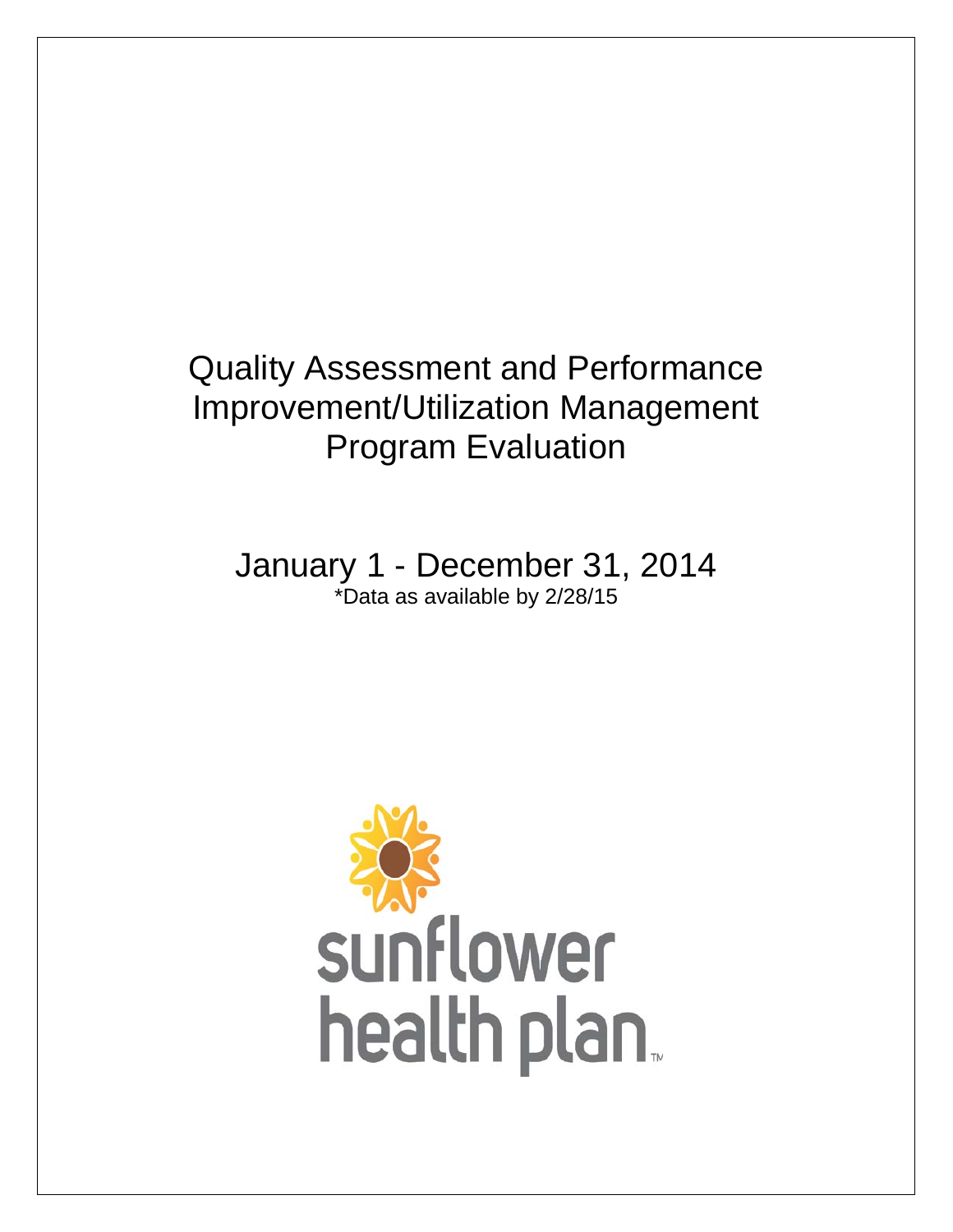# Quality Assessment and Performance Improvement/Utilization Management Program Evaluation

January 1 - December 31, 2014 \*Data as available by 2/28/15

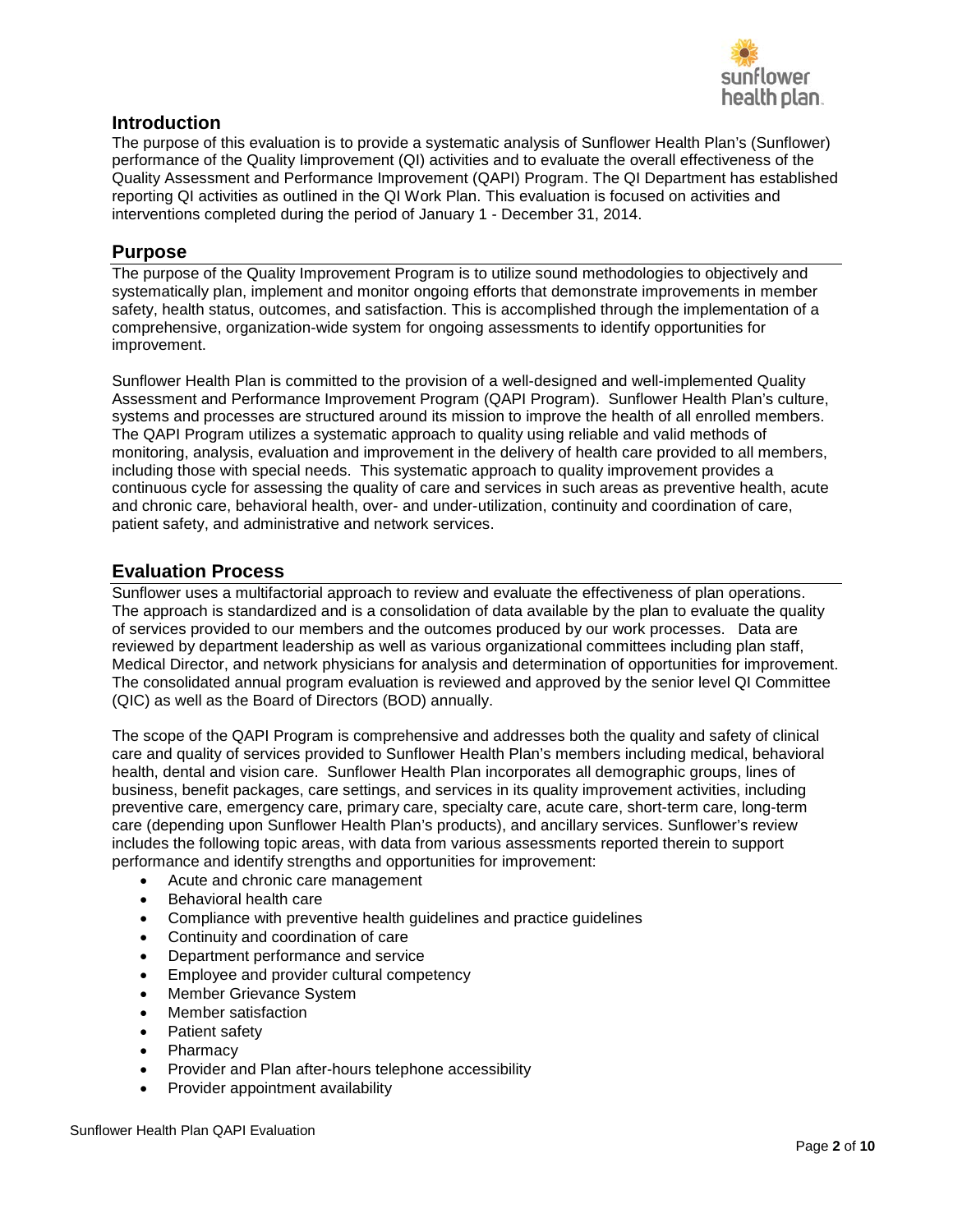

# **Introduction**

The purpose of this evaluation is to provide a systematic analysis of Sunflower Health Plan's (Sunflower) performance of the Quality Iimprovement (QI) activities and to evaluate the overall effectiveness of the Quality Assessment and Performance Improvement (QAPI) Program. The QI Department has established reporting QI activities as outlined in the QI Work Plan. This evaluation is focused on activities and interventions completed during the period of January 1 - December 31, 2014.

# **Purpose**

The purpose of the Quality Improvement Program is to utilize sound methodologies to objectively and systematically plan, implement and monitor ongoing efforts that demonstrate improvements in member safety, health status, outcomes, and satisfaction. This is accomplished through the implementation of a comprehensive, organization-wide system for ongoing assessments to identify opportunities for improvement.

Sunflower Health Plan is committed to the provision of a well-designed and well-implemented Quality Assessment and Performance Improvement Program (QAPI Program). Sunflower Health Plan's culture, systems and processes are structured around its mission to improve the health of all enrolled members. The QAPI Program utilizes a systematic approach to quality using reliable and valid methods of monitoring, analysis, evaluation and improvement in the delivery of health care provided to all members, including those with special needs. This systematic approach to quality improvement provides a continuous cycle for assessing the quality of care and services in such areas as preventive health, acute and chronic care, behavioral health, over- and under-utilization, continuity and coordination of care, patient safety, and administrative and network services.

# **Evaluation Process**

Sunflower uses a multifactorial approach to review and evaluate the effectiveness of plan operations. The approach is standardized and is a consolidation of data available by the plan to evaluate the quality of services provided to our members and the outcomes produced by our work processes. Data are reviewed by department leadership as well as various organizational committees including plan staff, Medical Director, and network physicians for analysis and determination of opportunities for improvement. The consolidated annual program evaluation is reviewed and approved by the senior level QI Committee (QIC) as well as the Board of Directors (BOD) annually.

The scope of the QAPI Program is comprehensive and addresses both the quality and safety of clinical care and quality of services provided to Sunflower Health Plan's members including medical, behavioral health, dental and vision care. Sunflower Health Plan incorporates all demographic groups, lines of business, benefit packages, care settings, and services in its quality improvement activities, including preventive care, emergency care, primary care, specialty care, acute care, short-term care, long-term care (depending upon Sunflower Health Plan's products), and ancillary services. Sunflower's review includes the following topic areas, with data from various assessments reported therein to support performance and identify strengths and opportunities for improvement:

- Acute and chronic care management
- Behavioral health care
- Compliance with preventive health guidelines and practice guidelines
- Continuity and coordination of care
- Department performance and service
- Employee and provider cultural competency
- Member Grievance System
- Member satisfaction
- Patient safety
- Pharmacy
- Provider and Plan after-hours telephone accessibility
- Provider appointment availability

Sunflower Health Plan QAPI Evaluation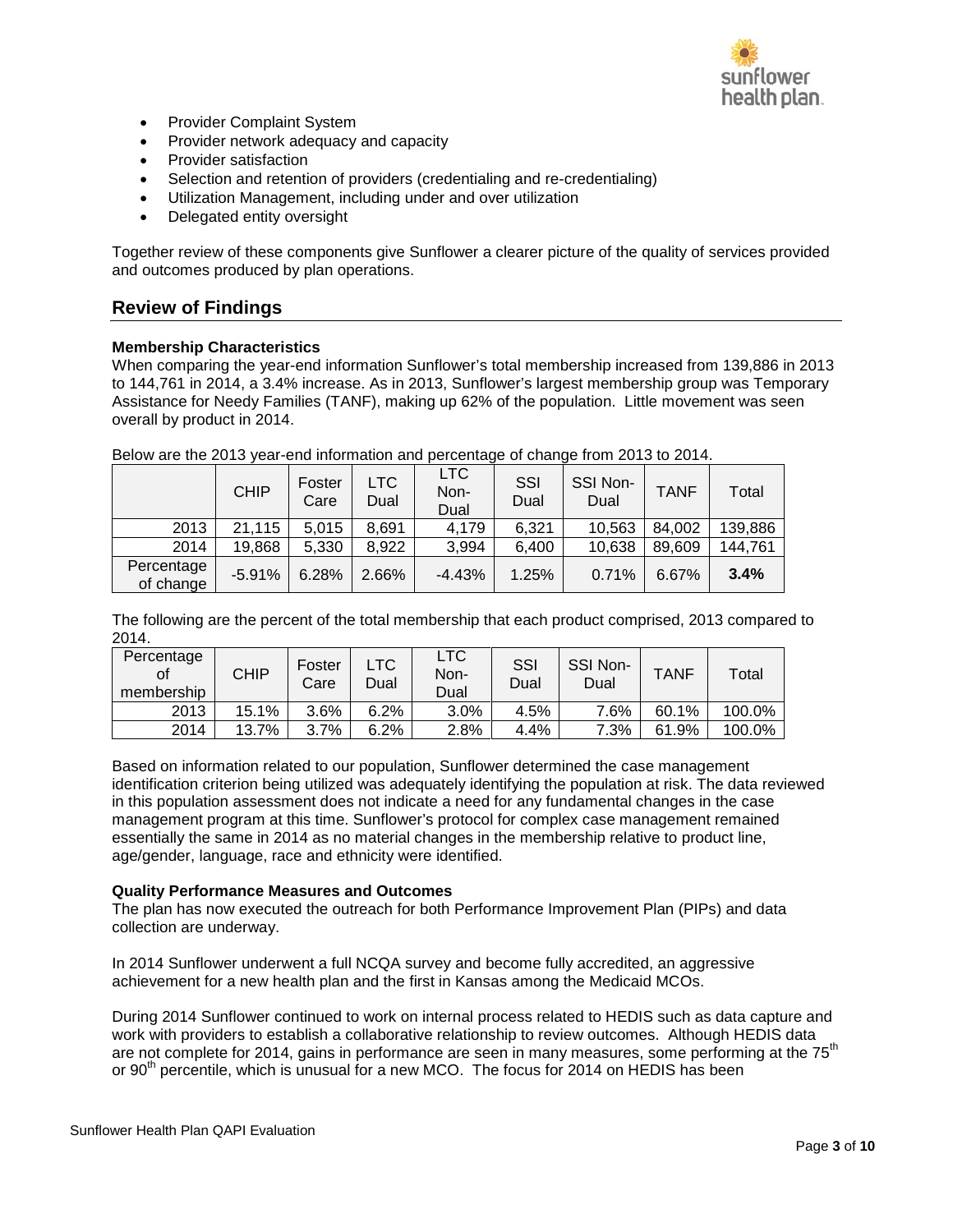

- Provider Complaint System
- Provider network adequacy and capacity
- Provider satisfaction
- Selection and retention of providers (credentialing and re-credentialing)
- Utilization Management, including under and over utilization
- Delegated entity oversight

Together review of these components give Sunflower a clearer picture of the quality of services provided and outcomes produced by plan operations.

# **Review of Findings**

## **Membership Characteristics**

When comparing the year-end information Sunflower's total membership increased from 139,886 in 2013 to 144,761 in 2014, a 3.4% increase. As in 2013, Sunflower's largest membership group was Temporary Assistance for Needy Families (TANF), making up 62% of the population. Little movement was seen overall by product in 2014.

|                         | <b>CHIP</b> | Foster<br>Care | LTC<br>Dual | LTC.<br>Non-<br>Dual | SSI<br>Dual | SSI Non-<br>Dual | <b>TANF</b> | Total   |
|-------------------------|-------------|----------------|-------------|----------------------|-------------|------------------|-------------|---------|
| 2013                    | 21,115      | 5.015          | 8.691       | 4,179                | 6.321       | 10,563           | 84.002      | 139,886 |
| 2014                    | 19,868      | 5,330          | 8.922       | 3,994                | 6.400       | 10,638           | 89,609      | 144,761 |
| Percentage<br>of change | $-5.91%$    | 6.28%          | 2.66%       | $-4.43%$             | 1.25%       | 0.71%            | 6.67%       | 3.4%    |

Below are the 2013 year-end information and percentage of change from 2013 to 2014.

The following are the percent of the total membership that each product comprised, 2013 compared to 2014.

| Percentage<br>οf<br>membership | CHIP  | Foster<br>Carel | LTC<br>Dual | LTC<br>Non-<br>Dual | SSI<br>Dual | SSI Non-<br>Dual | <b>TANF</b> | Total  |
|--------------------------------|-------|-----------------|-------------|---------------------|-------------|------------------|-------------|--------|
| 2013                           | 15.1% | 3.6%            | 6.2%        | 3.0%                | 4.5%        | 7.6%             | 60.1%       | 100.0% |
| 2014                           | 13.7% | 3.7%            | 6.2%        | 2.8%                | 4.4%        | 7.3%             | 61.9%       | 100.0% |

Based on information related to our population, Sunflower determined the case management identification criterion being utilized was adequately identifying the population at risk. The data reviewed in this population assessment does not indicate a need for any fundamental changes in the case management program at this time. Sunflower's protocol for complex case management remained essentially the same in 2014 as no material changes in the membership relative to product line, age/gender, language, race and ethnicity were identified.

### **Quality Performance Measures and Outcomes**

The plan has now executed the outreach for both Performance Improvement Plan (PIPs) and data collection are underway.

In 2014 Sunflower underwent a full NCQA survey and become fully accredited, an aggressive achievement for a new health plan and the first in Kansas among the Medicaid MCOs.

During 2014 Sunflower continued to work on internal process related to HEDIS such as data capture and work with providers to establish a collaborative relationship to review outcomes. Although HEDIS data are not complete for 2014, gains in performance are seen in many measures, some performing at the 75<sup>th</sup> or 90<sup>th</sup> percentile, which is unusual for a new MCO. The focus for 2014 on HEDIS has been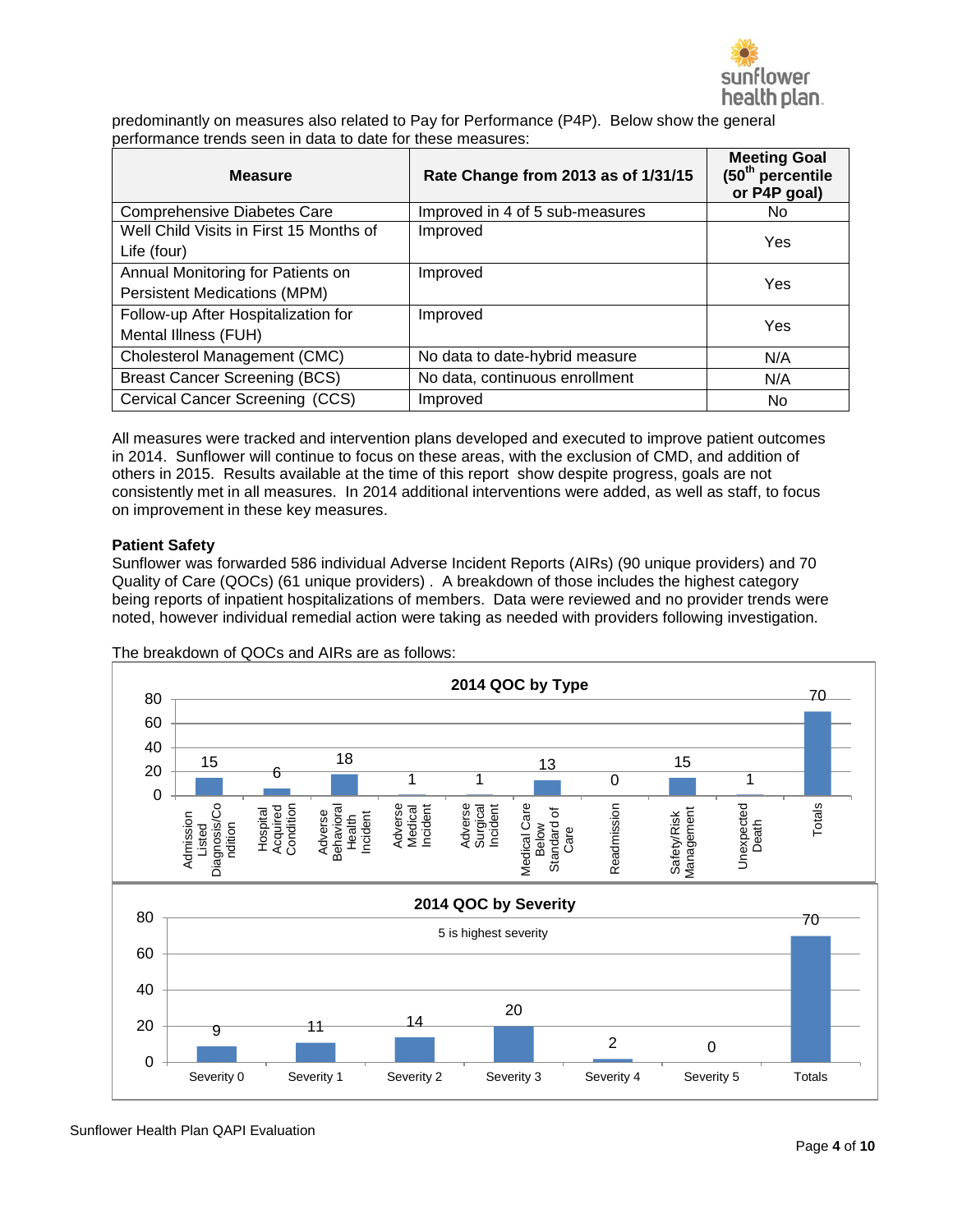

predominantly on measures also related to Pay for Performance (P4P). Below show the general performance trends seen in data to date for these measures:

| <b>Measure</b>                                                           | Rate Change from 2013 as of 1/31/15 | <b>Meeting Goal</b><br>(50 <sup>th</sup> percentile<br>or P4P goal) |
|--------------------------------------------------------------------------|-------------------------------------|---------------------------------------------------------------------|
| <b>Comprehensive Diabetes Care</b>                                       | Improved in 4 of 5 sub-measures     | No.                                                                 |
| Well Child Visits in First 15 Months of<br>Life (four)                   | Improved                            | Yes                                                                 |
| Annual Monitoring for Patients on<br><b>Persistent Medications (MPM)</b> | Improved                            | Yes                                                                 |
| Follow-up After Hospitalization for<br>Mental Illness (FUH)              | Improved                            | Yes                                                                 |
| Cholesterol Management (CMC)                                             | No data to date-hybrid measure      | N/A                                                                 |
| <b>Breast Cancer Screening (BCS)</b>                                     | No data, continuous enrollment      | N/A                                                                 |
| Cervical Cancer Screening (CCS)                                          | Improved                            | No                                                                  |

All measures were tracked and intervention plans developed and executed to improve patient outcomes in 2014. Sunflower will continue to focus on these areas, with the exclusion of CMD, and addition of others in 2015. Results available at the time of this report show despite progress, goals are not consistently met in all measures. In 2014 additional interventions were added, as well as staff, to focus on improvement in these key measures.

## **Patient Safety**

Sunflower was forwarded 586 individual Adverse Incident Reports (AIRs) (90 unique providers) and 70 Quality of Care (QOCs) (61 unique providers) . A breakdown of those includes the highest category being reports of inpatient hospitalizations of members. Data were reviewed and no provider trends were noted, however individual remedial action were taking as needed with providers following investigation.



The breakdown of QOCs and AIRs are as follows: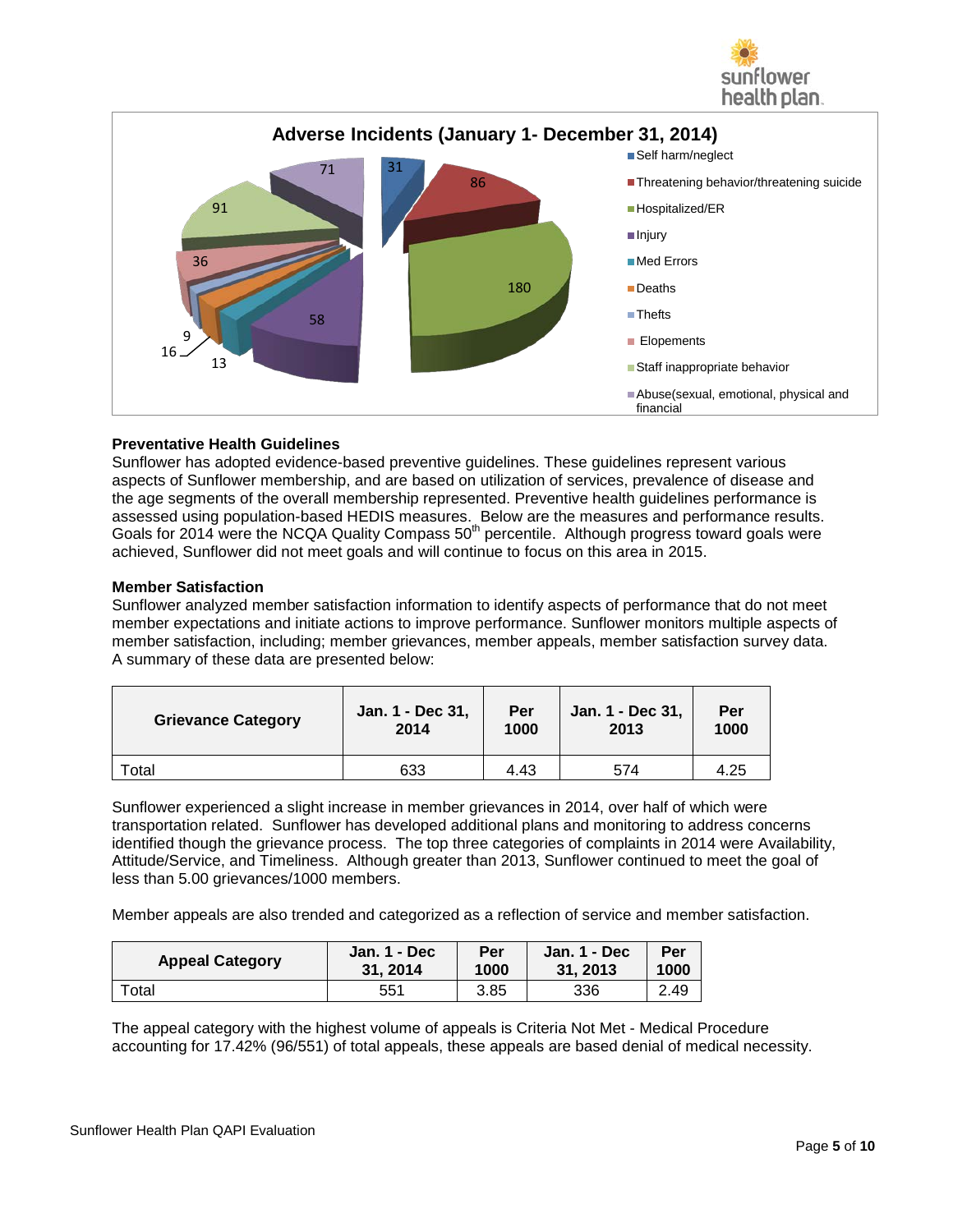



## **Preventative Health Guidelines**

Sunflower has adopted evidence-based preventive guidelines. These guidelines represent various aspects of Sunflower membership, and are based on utilization of services, prevalence of disease and the age segments of the overall membership represented. Preventive health guidelines performance is assessed using population-based HEDIS measures. Below are the measures and performance results. Goals for 2014 were the NCQA Quality Compass 50<sup>th</sup> percentile. Although progress toward goals were achieved, Sunflower did not meet goals and will continue to focus on this area in 2015.

## **Member Satisfaction**

Sunflower analyzed member satisfaction information to identify aspects of performance that do not meet member expectations and initiate actions to improve performance. Sunflower monitors multiple aspects of member satisfaction, including; member grievances, member appeals, member satisfaction survey data. A summary of these data are presented below:

| <b>Grievance Category</b> | Jan. 1 - Dec 31, | Per  | Jan. 1 - Dec 31, | Per  |
|---------------------------|------------------|------|------------------|------|
|                           | 2014             | 1000 | 2013             | 1000 |
| ™otal                     | 633              | 4.43 | 574              | 4.25 |

Sunflower experienced a slight increase in member grievances in 2014, over half of which were transportation related. Sunflower has developed additional plans and monitoring to address concerns identified though the grievance process. The top three categories of complaints in 2014 were Availability, Attitude/Service, and Timeliness. Although greater than 2013, Sunflower continued to meet the goal of less than 5.00 grievances/1000 members.

Member appeals are also trended and categorized as a reflection of service and member satisfaction.

| <b>Appeal Category</b> | Jan. 1 - Dec    | Per  | Jan. 1 - Decl | Per  |
|------------------------|-----------------|------|---------------|------|
|                        | 31.2014         | 1000 | 31.2013       | 1000 |
| $\tau$ otal            | 55 <sup>′</sup> | 3.85 | 336           | 2.49 |

The appeal category with the highest volume of appeals is Criteria Not Met - Medical Procedure accounting for 17.42% (96/551) of total appeals, these appeals are based denial of medical necessity.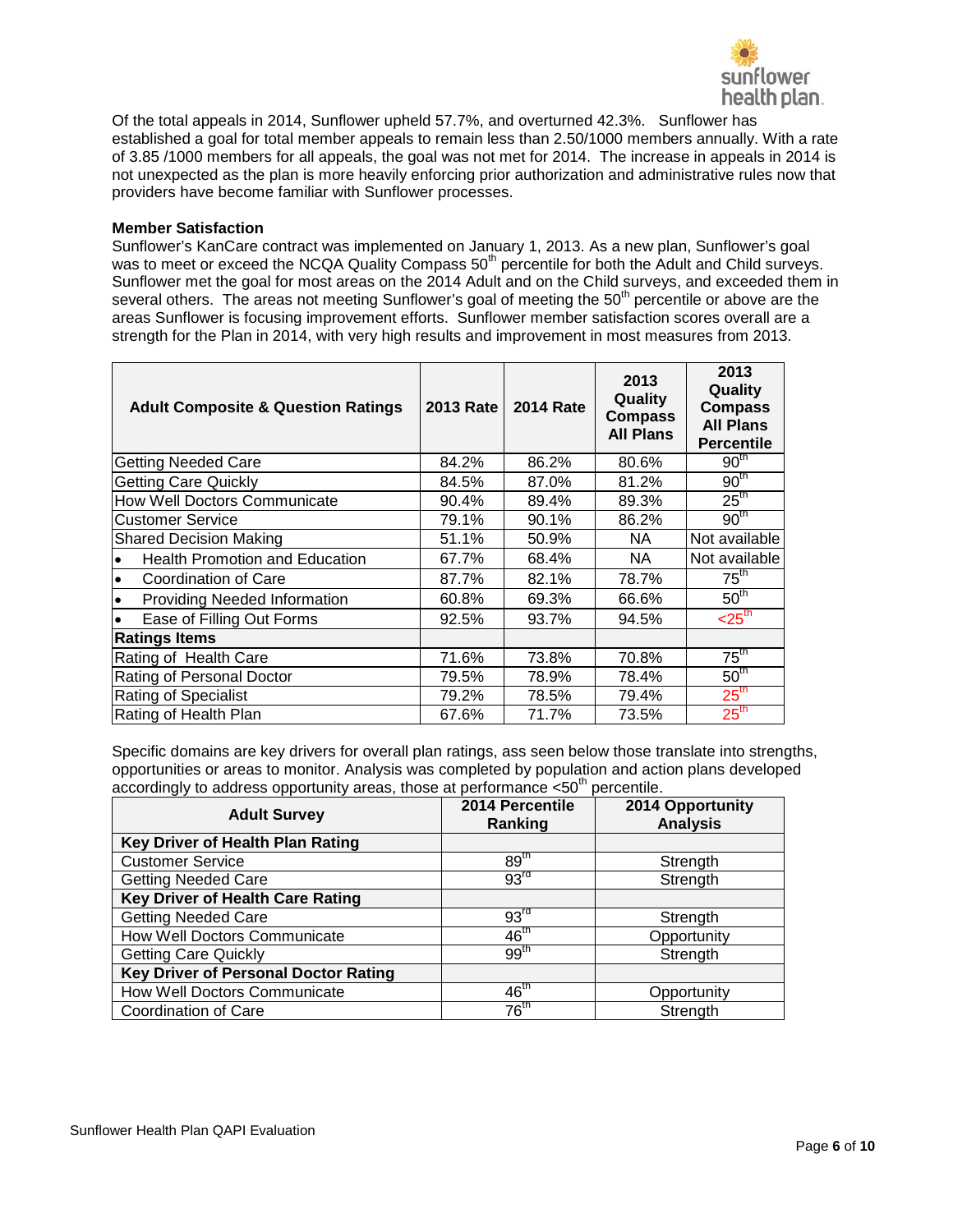

Of the total appeals in 2014, Sunflower upheld 57.7%, and overturned 42.3%. Sunflower has established a goal for total member appeals to remain less than 2.50/1000 members annually. With a rate of 3.85 /1000 members for all appeals, the goal was not met for 2014. The increase in appeals in 2014 is not unexpected as the plan is more heavily enforcing prior authorization and administrative rules now that providers have become familiar with Sunflower processes.

### **Member Satisfaction**

Sunflower's KanCare contract was implemented on January 1, 2013. As a new plan, Sunflower's goal was to meet or exceed the NCQA Quality Compass 50<sup>th</sup> percentile for both the Adult and Child surveys. Sunflower met the goal for most areas on the 2014 Adult and on the Child surveys, and exceeded them in several others. The areas not meeting Sunflower's goal of meeting the 50<sup>th</sup> percentile or above are the areas Sunflower is focusing improvement efforts. Sunflower member satisfaction scores overall are a strength for the Plan in 2014, with very high results and improvement in most measures from 2013.

| <b>Adult Composite &amp; Question Ratings</b>      | <b>2013 Rate</b> | <b>2014 Rate</b> | 2013<br>Quality<br><b>Compass</b><br><b>All Plans</b> | 2013<br>Quality<br><b>Compass</b><br><b>All Plans</b><br><b>Percentile</b> |
|----------------------------------------------------|------------------|------------------|-------------------------------------------------------|----------------------------------------------------------------------------|
| <b>Getting Needed Care</b>                         | 84.2%            | 86.2%            | 80.6%                                                 | 90 <sup>th</sup>                                                           |
| <b>Getting Care Quickly</b>                        | 84.5%            | 87.0%            | 81.2%                                                 | 90 <sup>th</sup>                                                           |
| How Well Doctors Communicate                       | 90.4%            | 89.4%            | 89.3%                                                 | $25^{\text{th}}$                                                           |
| <b>Customer Service</b>                            | 79.1%            | 90.1%            | 86.2%                                                 | 90 <sup>th</sup>                                                           |
| <b>Shared Decision Making</b>                      | 51.1%            | 50.9%            | NA.                                                   | Not available                                                              |
| <b>Health Promotion and Education</b><br>$\bullet$ | 67.7%            | 68.4%            | NA.                                                   | Not available                                                              |
| l.<br>Coordination of Care                         | 87.7%            | 82.1%            | 78.7%                                                 | $75^{\text{th}}$                                                           |
| Providing Needed Information<br>l e                | 60.8%            | 69.3%            | 66.6%                                                 | 50 <sup>th</sup>                                                           |
| Ease of Filling Out Forms<br>$\bullet$             | 92.5%            | 93.7%            | 94.5%                                                 | $<$ 25 <sup>th</sup>                                                       |
| <b>Ratings Items</b>                               |                  |                  |                                                       |                                                                            |
| Rating of Health Care                              | 71.6%            | 73.8%            | 70.8%                                                 | $75^{\text{th}}$                                                           |
| Rating of Personal Doctor                          | 79.5%            | 78.9%            | 78.4%                                                 | 50 <sup>th</sup>                                                           |
| Rating of Specialist                               | 79.2%            | 78.5%            | 79.4%                                                 | 25 <sup>th</sup>                                                           |
| Rating of Health Plan                              | 67.6%            | 71.7%            | 73.5%                                                 | 25 <sup>th</sup>                                                           |

Specific domains are key drivers for overall plan ratings, ass seen below those translate into strengths, opportunities or areas to monitor. Analysis was completed by population and action plans developed accordingly to address opportunity areas, those at performance  $<50^{th}$  percentile.

| <b>Adult Survey</b>                         | 2014 Percentile<br>Ranking | 2014 Opportunity<br><b>Analysis</b> |
|---------------------------------------------|----------------------------|-------------------------------------|
| Key Driver of Health Plan Rating            |                            |                                     |
| <b>Customer Service</b>                     | 89 <sup>th</sup>           | Strength                            |
| <b>Getting Needed Care</b>                  | 93 <sup>rd</sup>           | Strength                            |
| Key Driver of Health Care Rating            |                            |                                     |
| <b>Getting Needed Care</b>                  | 93 <sup>rd</sup>           | Strength                            |
| How Well Doctors Communicate                | 46 <sup>th</sup>           | Opportunity                         |
| <b>Getting Care Quickly</b>                 | 99 <sup>th</sup>           | Strength                            |
| <b>Key Driver of Personal Doctor Rating</b> |                            |                                     |
| How Well Doctors Communicate                | $46^{\text{th}}$           | Opportunity                         |
| Coordination of Care                        | $76^{\text{th}}$           | Strength                            |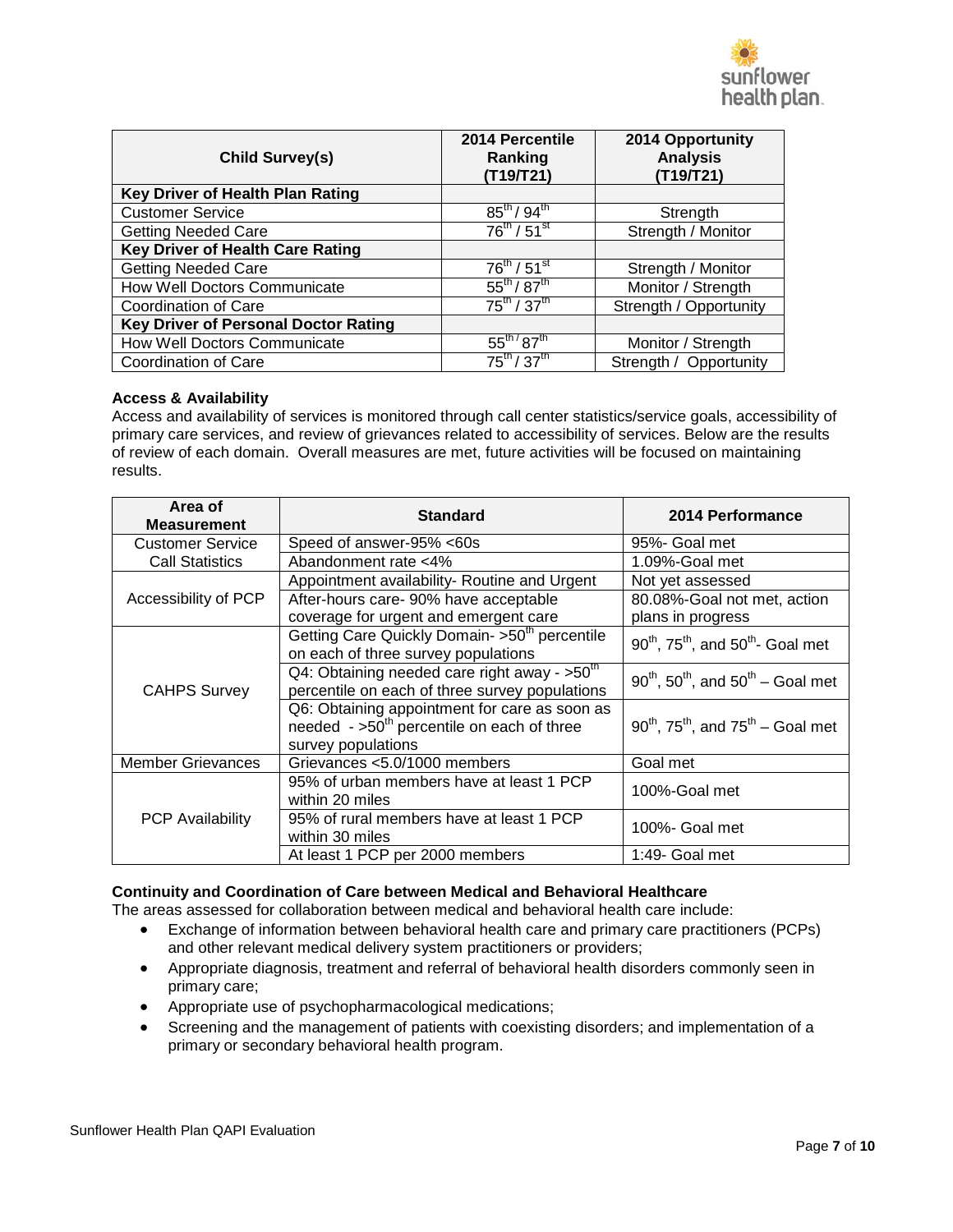

| <b>Child Survey(s)</b>                      | 2014 Percentile<br>Ranking<br>(T19/T21) | 2014 Opportunity<br><b>Analysis</b><br>(T19/T21) |
|---------------------------------------------|-----------------------------------------|--------------------------------------------------|
| Key Driver of Health Plan Rating            |                                         |                                                  |
| <b>Customer Service</b>                     | $85^{th}$ / $94^{th}$                   | Strength                                         |
| <b>Getting Needed Care</b>                  | $76^{th}$ / $51^{st}$                   | Strength / Monitor                               |
| Key Driver of Health Care Rating            |                                         |                                                  |
| <b>Getting Needed Care</b>                  | $76^{th}$ / $51^{st}$                   | Strength / Monitor                               |
| How Well Doctors Communicate                | $55^{th}/87^{th}$                       | Monitor / Strength                               |
| Coordination of Care                        | $75^{th}$ / $37^{th}$                   | Strength / Opportunity                           |
| <b>Key Driver of Personal Doctor Rating</b> |                                         |                                                  |
| How Well Doctors Communicate                | $55^{\text{th}}/87^{\text{th}}$         | Monitor / Strength                               |
| Coordination of Care                        | $75^{th}/37^{th}$                       | Strength / Opportunity                           |

### **Access & Availability**

Access and availability of services is monitored through call center statistics/service goals, accessibility of primary care services, and review of grievances related to accessibility of services. Below are the results of review of each domain. Overall measures are met, future activities will be focused on maintaining results.

| Area of<br><b>Measurement</b> | <b>Standard</b>                                                                                                   | 2014 Performance                                               |  |
|-------------------------------|-------------------------------------------------------------------------------------------------------------------|----------------------------------------------------------------|--|
| <b>Customer Service</b>       | Speed of answer-95% <60s                                                                                          | 95%- Goal met                                                  |  |
| <b>Call Statistics</b>        | Abandonment rate <4%                                                                                              | 1.09%-Goal met                                                 |  |
|                               | Appointment availability- Routine and Urgent                                                                      | Not yet assessed                                               |  |
| Accessibility of PCP          | After-hours care- 90% have acceptable                                                                             | 80.08%-Goal not met, action                                    |  |
|                               | coverage for urgent and emergent care                                                                             | plans in progress                                              |  |
|                               | Getting Care Quickly Domain- >50 <sup>th</sup> percentile<br>on each of three survey populations                  | $90^{th}$ , $75^{th}$ , and $50^{th}$ - Goal met               |  |
|                               | Q4: Obtaining needed care right away - >50 <sup>th</sup>                                                          | $90^{th}$ , $50^{th}$ , and $50^{th}$ – Goal met               |  |
| <b>CAHPS Survey</b>           | percentile on each of three survey populations                                                                    |                                                                |  |
|                               | Q6: Obtaining appointment for care as soon as<br>needed $-50th$ percentile on each of three<br>survey populations | $90^{th}$ , 75 <sup>th</sup> , and 75 <sup>th</sup> – Goal met |  |
| <b>Member Grievances</b>      | Grievances <5.0/1000 members                                                                                      | Goal met                                                       |  |
|                               | 95% of urban members have at least 1 PCP<br>within 20 miles                                                       | 100%-Goal met                                                  |  |
| <b>PCP Availability</b>       | 95% of rural members have at least 1 PCP<br>within 30 miles                                                       | 100%- Goal met                                                 |  |
|                               | At least 1 PCP per 2000 members                                                                                   | 1:49- Goal met                                                 |  |

### **Continuity and Coordination of Care between Medical and Behavioral Healthcare**

The areas assessed for collaboration between medical and behavioral health care include:

- Exchange of information between behavioral health care and primary care practitioners (PCPs) and other relevant medical delivery system practitioners or providers;
- Appropriate diagnosis, treatment and referral of behavioral health disorders commonly seen in primary care;
- Appropriate use of psychopharmacological medications;
- Screening and the management of patients with coexisting disorders; and implementation of a primary or secondary behavioral health program.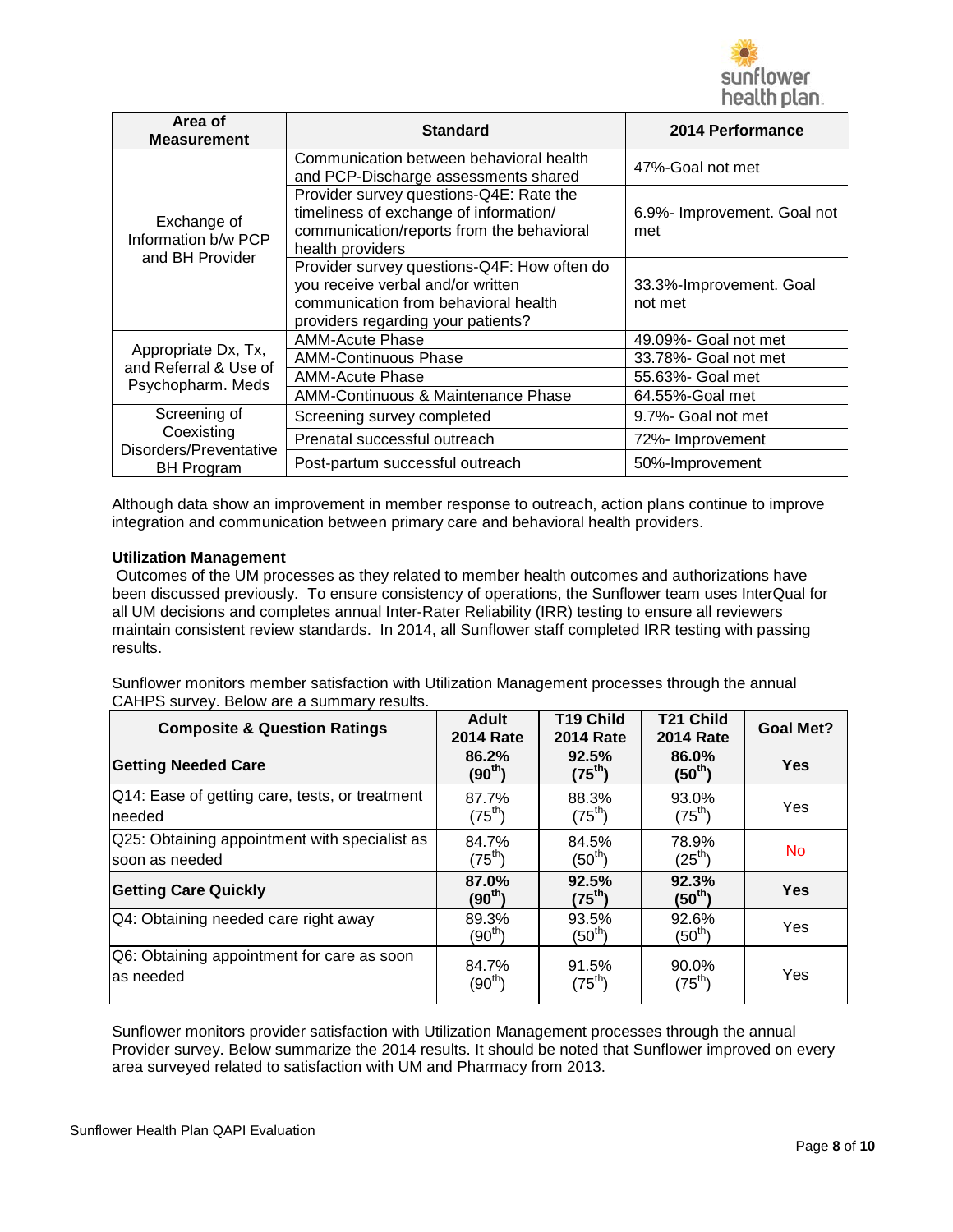

| Area of<br><b>Measurement</b>                         | <b>Standard</b>                                                                                                                                                | 2014 Performance                   |
|-------------------------------------------------------|----------------------------------------------------------------------------------------------------------------------------------------------------------------|------------------------------------|
|                                                       | Communication between behavioral health<br>and PCP-Discharge assessments shared                                                                                | 47%-Goal not met                   |
| Exchange of<br>Information b/w PCP<br>and BH Provider | Provider survey questions-Q4E: Rate the<br>timeliness of exchange of information/<br>communication/reports from the behavioral<br>health providers             | 6.9%- Improvement. Goal not<br>met |
|                                                       | Provider survey questions-Q4F: How often do<br>you receive verbal and/or written<br>communication from behavioral health<br>providers regarding your patients? | 33.3%-Improvement. Goal<br>not met |
|                                                       | <b>AMM-Acute Phase</b>                                                                                                                                         | 49.09%- Goal not met               |
| Appropriate Dx, Tx,<br>and Referral & Use of          | <b>AMM-Continuous Phase</b>                                                                                                                                    | 33.78%- Goal not met               |
| Psychopharm. Meds                                     | <b>AMM-Acute Phase</b>                                                                                                                                         | 55.63%- Goal met                   |
|                                                       | AMM-Continuous & Maintenance Phase                                                                                                                             | 64.55%-Goal met                    |
| Screening of<br>Coexisting<br>Disorders/Preventative  | Screening survey completed                                                                                                                                     | 9.7%- Goal not met                 |
|                                                       | Prenatal successful outreach                                                                                                                                   | 72%- Improvement                   |
| <b>BH Program</b>                                     | Post-partum successful outreach                                                                                                                                | 50%-Improvement                    |

Although data show an improvement in member response to outreach, action plans continue to improve integration and communication between primary care and behavioral health providers.

### **Utilization Management**

Outcomes of the UM processes as they related to member health outcomes and authorizations have been discussed previously. To ensure consistency of operations, the Sunflower team uses InterQual for all UM decisions and completes annual Inter-Rater Reliability (IRR) testing to ensure all reviewers maintain consistent review standards. In 2014, all Sunflower staff completed IRR testing with passing results.

Sunflower monitors member satisfaction with Utilization Management processes through the annual CAHPS survey. Below are a summary results.

| <b>Composite &amp; Question Ratings</b>                         | Adult<br><b>2014 Rate</b>    | <b>T19 Child</b><br><b>2014 Rate</b> | <b>T21 Child</b><br><b>2014 Rate</b> | <b>Goal Met?</b> |
|-----------------------------------------------------------------|------------------------------|--------------------------------------|--------------------------------------|------------------|
| <b>Getting Needed Care</b>                                      | 86.2%<br>(90 <sup>th</sup> ) | 92.5%<br>$(75^{\text{th}})$          | 86.0%<br>$(50^{\text{th}})$          | Yes              |
| Q14: Ease of getting care, tests, or treatment<br>needed        | 87.7%<br>$(75^{th})$         | 88.3%<br>$(75^{th})$                 | 93.0%<br>$(75^{th})$                 | Yes              |
| Q25: Obtaining appointment with specialist as<br>soon as needed | 84.7%<br>$(75^{\text{th}})$  | 84.5%<br>$(50^{\text{th}})$          | 78.9%<br>$(25^{\text{th}})$          | <b>No</b>        |
| <b>Getting Care Quickly</b>                                     | 87.0%<br>(90 <sup>th</sup> ) | 92.5%<br>$(75^{\text{th}})$          | 92.3%<br>$(50^{\text{th}})$          | Yes              |
| Q4: Obtaining needed care right away                            | 89.3%<br>(90 $^{\sf th}$ )   | 93.5%<br>$(50^{\text{th}}$           | 92.6%<br>$(50^{\sf th})$             | Yes              |
| Q6: Obtaining appointment for care as soon<br>las needed        | 84.7%<br>$(90^{\sf th})$     | 91.5%<br>$(75^{th})$                 | 90.0%<br>$(75^{th})$                 | Yes              |

Sunflower monitors provider satisfaction with Utilization Management processes through the annual Provider survey. Below summarize the 2014 results. It should be noted that Sunflower improved on every area surveyed related to satisfaction with UM and Pharmacy from 2013.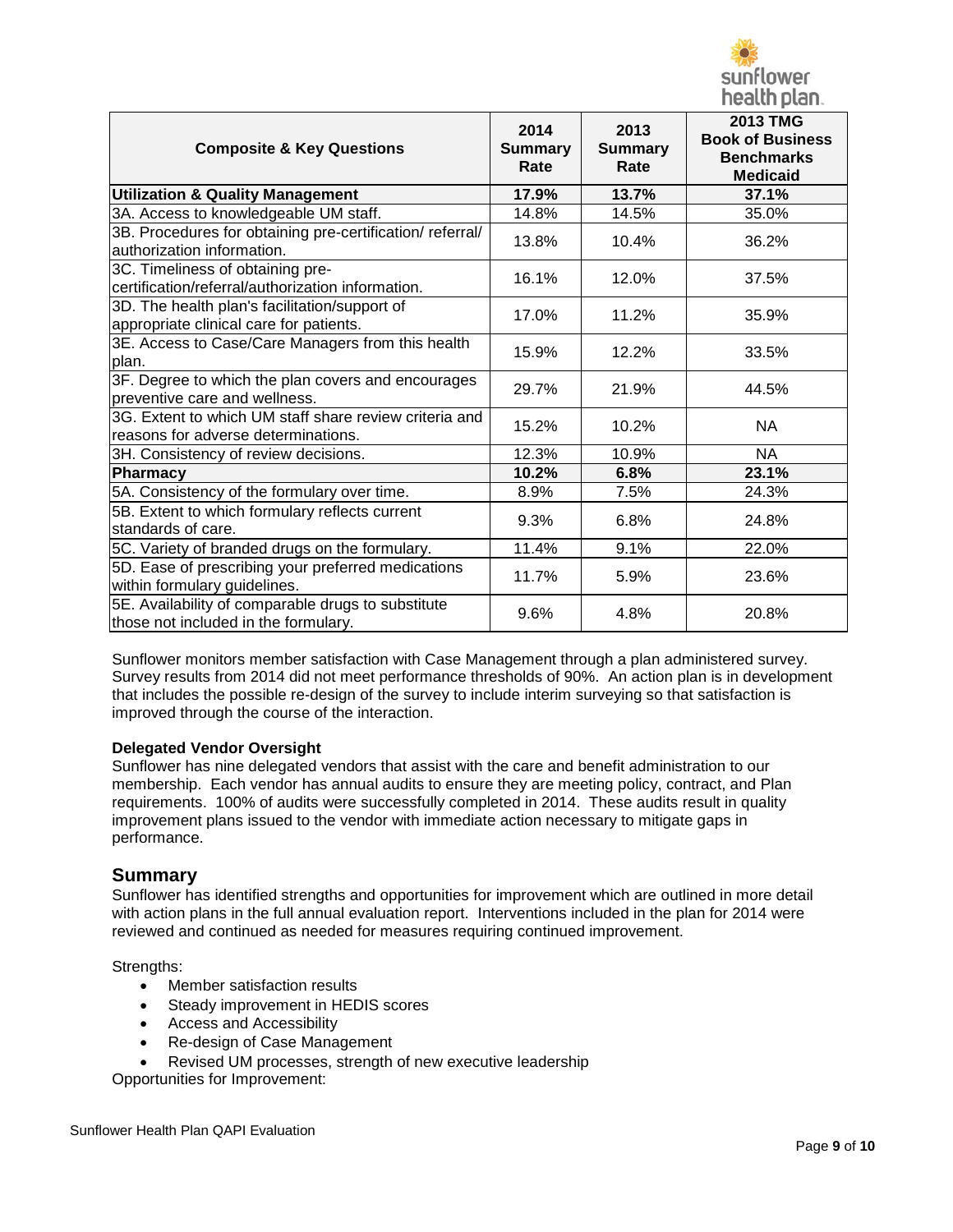

| <b>Composite &amp; Key Questions</b>                                                          | 2014<br><b>Summary</b><br>Rate | 2013<br><b>Summary</b><br>Rate | <b>2013 TMG</b><br><b>Book of Business</b><br><b>Benchmarks</b><br><b>Medicaid</b> |
|-----------------------------------------------------------------------------------------------|--------------------------------|--------------------------------|------------------------------------------------------------------------------------|
| <b>Utilization &amp; Quality Management</b>                                                   | 17.9%                          | 13.7%                          | 37.1%                                                                              |
| 3A. Access to knowledgeable UM staff.                                                         | 14.8%                          | 14.5%                          | 35.0%                                                                              |
| 3B. Procedures for obtaining pre-certification/referral/<br>authorization information.        | 13.8%                          | 10.4%                          | 36.2%                                                                              |
| 3C. Timeliness of obtaining pre-<br>certification/referral/authorization information.         | 16.1%                          | 12.0%                          | 37.5%                                                                              |
| 3D. The health plan's facilitation/support of<br>appropriate clinical care for patients.      | 17.0%                          | 11.2%                          | 35.9%                                                                              |
| 3E. Access to Case/Care Managers from this health<br>plan.                                    | 15.9%                          | 12.2%                          | 33.5%                                                                              |
| 3F. Degree to which the plan covers and encourages<br>preventive care and wellness.           | 29.7%                          | 21.9%                          | 44.5%                                                                              |
| 3G. Extent to which UM staff share review criteria and<br>reasons for adverse determinations. | 15.2%                          | 10.2%                          | <b>NA</b>                                                                          |
| 3H. Consistency of review decisions.                                                          | 12.3%                          | 10.9%                          | <b>NA</b>                                                                          |
| <b>Pharmacy</b>                                                                               | 10.2%                          | 6.8%                           | 23.1%                                                                              |
| 5A. Consistency of the formulary over time.                                                   | 8.9%                           | 7.5%                           | 24.3%                                                                              |
| 5B. Extent to which formulary reflects current<br>standards of care.                          | 9.3%                           | 6.8%                           | 24.8%                                                                              |
| 5C. Variety of branded drugs on the formulary.                                                | 11.4%                          | 9.1%                           | 22.0%                                                                              |
| 5D. Ease of prescribing your preferred medications<br>within formulary guidelines.            | 11.7%                          | 5.9%                           | 23.6%                                                                              |
| 5E. Availability of comparable drugs to substitute<br>those not included in the formulary.    | 9.6%                           | 4.8%                           | 20.8%                                                                              |

Sunflower monitors member satisfaction with Case Management through a plan administered survey. Survey results from 2014 did not meet performance thresholds of 90%. An action plan is in development that includes the possible re-design of the survey to include interim surveying so that satisfaction is improved through the course of the interaction.

### **Delegated Vendor Oversight**

Sunflower has nine delegated vendors that assist with the care and benefit administration to our membership. Each vendor has annual audits to ensure they are meeting policy, contract, and Plan requirements. 100% of audits were successfully completed in 2014. These audits result in quality improvement plans issued to the vendor with immediate action necessary to mitigate gaps in performance.

# **Summary**

Sunflower has identified strengths and opportunities for improvement which are outlined in more detail with action plans in the full annual evaluation report. Interventions included in the plan for 2014 were reviewed and continued as needed for measures requiring continued improvement.

Strengths:

- Member satisfaction results
- Steady improvement in HEDIS scores
- Access and Accessibility
- Re-design of Case Management
- Revised UM processes, strength of new executive leadership

Opportunities for Improvement: